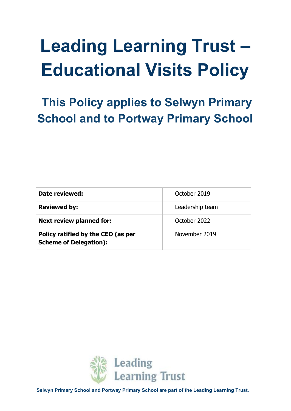# **Leading Learning Trust – Educational Visits Policy**

 **This Policy applies to Selwyn Primary School and to Portway Primary School**

| Date reviewed:                                                      | October 2019    |  |
|---------------------------------------------------------------------|-----------------|--|
| <b>Reviewed by:</b>                                                 | Leadership team |  |
| <b>Next review planned for:</b>                                     | October 2022    |  |
| Policy ratified by the CEO (as per<br><b>Scheme of Delegation):</b> | November 2019   |  |

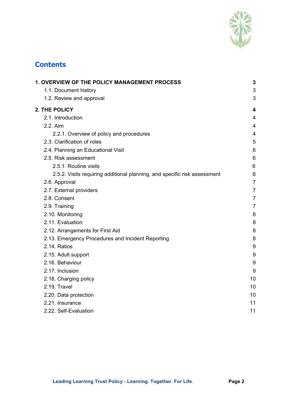

# **Contents**

| 1. OVERVIEW OF THE POLICY MANAGEMENT PROCESS                              | $\mathbf{3}$   |
|---------------------------------------------------------------------------|----------------|
| 1.1. Document history                                                     | 3              |
| 1.2. Review and approval                                                  | 3              |
| <b>2. THE POLICY</b>                                                      | 4              |
| 2.1. Introduction                                                         | $\overline{4}$ |
| 2.2. Aim                                                                  | 4              |
| 2.2.1. Overview of policy and procedures                                  | $\overline{4}$ |
| 2.3. Clarification of roles                                               | 5              |
| 2.4. Planning an Educational Visit                                        | 6              |
| 2.5. Risk assessment                                                      | 6              |
| 2.5.1. Routine visits                                                     | 6              |
| 2.5.2. Visits requiring additional planning, and specific risk assessment | 6              |
| 2.6. Approval                                                             | $\overline{7}$ |
| 2.7. External providers                                                   | $\overline{7}$ |
| 2.8. Consent                                                              | $\overline{7}$ |
| 2.9. Training                                                             | $\overline{7}$ |
| 2.10. Monitoring                                                          | 8              |
| 2.11. Evaluation                                                          | 8              |
| 2.12. Arrangements for First Aid                                          | 8              |
| 2.13. Emergency Procedures and Incident Reporting                         | 8              |
| 2.14. Ratios                                                              | 9              |
| 2.15. Adult support                                                       | 9              |
| 2.16. Behaviour                                                           | 9              |
| 2.17. Inclusion                                                           | 9              |
| 2.18. Charging policy                                                     | 10             |
| 2.19. Travel                                                              | 10             |
| 2.20. Data protection                                                     | 10             |
| 2.21. Insurance                                                           | 11             |
| 2.22. Self-Evaluation                                                     | 11             |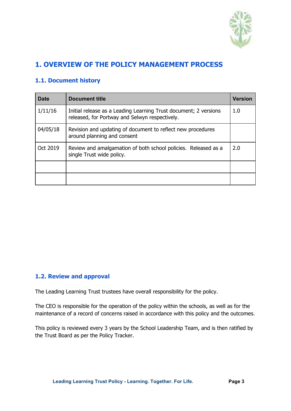

# <span id="page-2-0"></span>**1. OVERVIEW OF THE POLICY MANAGEMENT PROCESS**

# <span id="page-2-1"></span>**1.1. Document history**

| Date     | <b>Document title</b>                                                                                              | <b>Version</b> |
|----------|--------------------------------------------------------------------------------------------------------------------|----------------|
| 1/11/16  | Initial release as a Leading Learning Trust document; 2 versions<br>released, for Portway and Selwyn respectively. | 1.0            |
| 04/05/18 | Revision and updating of document to reflect new procedures<br>around planning and consent                         |                |
| Oct 2019 | Review and amalgamation of both school policies. Released as a<br>single Trust wide policy.                        | 2.0            |
|          |                                                                                                                    |                |
|          |                                                                                                                    |                |

#### <span id="page-2-2"></span>**1.2. Review and approval**

The Leading Learning Trust trustees have overall responsibility for the policy.

The CEO is responsible for the operation of the policy within the schools, as well as for the maintenance of a record of concerns raised in accordance with this policy and the outcomes.

This policy is reviewed every 3 years by the School Leadership Team, and is then ratified by the Trust Board as per the Policy Tracker.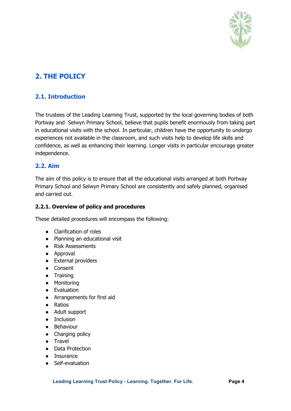

# <span id="page-3-0"></span>**2. THE POLICY**

# <span id="page-3-1"></span>**2.1. Introduction**

The trustees of the Leading Learning Trust, supported by the local governing bodies of both Portway and Selwyn Primary School, believe that pupils benefit enormously from taking part in educational visits with the school. In particular, children have the opportunity to undergo experiences not available in the classroom, and such visits help to develop life skills and confidence, as well as enhancing their learning. Longer visits in particular encourage greater independence.

### <span id="page-3-2"></span>**2.2. Aim**

The aim of this policy is to ensure that all the educational visits arranged at both Portway Primary School and Selwyn Primary School are consistently and safely planned, organised and carried out.

#### <span id="page-3-3"></span>**2.2.1. Overview of policy and procedures**

These detailed procedures will encompass the following:

- Clarification of roles
- Planning an educational visit
- Risk Assessments
- Approval
- External providers
- Consent
- Training
- Monitoring
- Evaluation
- Arrangements for first aid
- Ratios
- Adult support
- Inclusion
- Behaviour
- Charging policy
- Travel
- Data Protection
- Insurance
- Self-evaluation

**Leading Learning Trust Policy - Learning. Together. For Life. Page 4**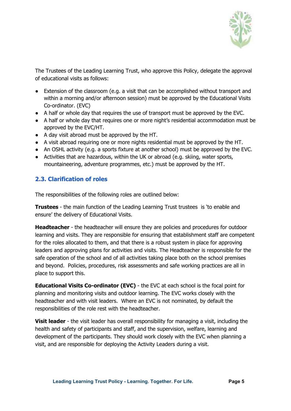

The Trustees of the Leading Learning Trust, who approve this Policy, delegate the approval of educational visits as follows:

- Extension of the classroom (e.g. a visit that can be accomplished without transport and within a morning and/or afternoon session) must be approved by the Educational Visits Co-ordinator. (EVC)
- A half or whole day that requires the use of transport must be approved by the EVC.
- A half or whole day that requires one or more night's residential accommodation must be approved by the EVC/HT.
- A day visit abroad must be approved by the HT.
- A visit abroad requiring one or more nights residential must be approved by the HT.
- An OSHL activity (e.g. a sports fixture at another school) must be approved by the EVC.
- Activities that are hazardous, within the UK or abroad (e.g. skiing, water sports, mountaineering, adventure programmes, etc.) must be approved by the HT.

# <span id="page-4-0"></span>**2.3. Clarification of roles**

The responsibilities of the following roles are outlined below:

**Trustees** - the main function of the Leading Learning Trust trustees is 'to enable and ensure' the delivery of Educational Visits.

**Headteacher** - the headteacher will ensure they are policies and procedures for outdoor learning and visits. They are responsible for ensuring that establishment staff are competent for the roles allocated to them, and that there is a robust system in place for approving leaders and approving plans for activities and visits. The Headteacher is responsible for the safe operation of the school and of all activities taking place both on the school premises and beyond. Policies, procedures, risk assessments and safe working practices are all in place to support this.

**Educational Visits Co-ordinator (EVC)** - the EVC at each school is the focal point for planning and monitoring visits and outdoor learning. The EVC works closely with the headteacher and with visit leaders. Where an EVC is not nominated, by default the responsibilities of the role rest with the headteacher.

**Visit leader** - the visit leader has overall responsibility for managing a visit, including the health and safety of participants and staff, and the supervision, welfare, learning and development of the participants. They should work closely with the EVC when planning a visit, and are responsible for deploying the Activity Leaders during a visit.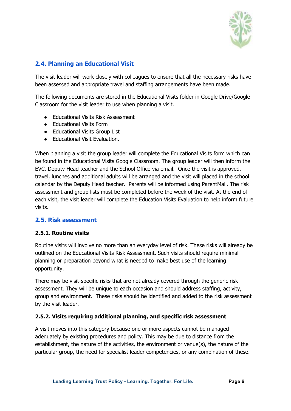

# <span id="page-5-0"></span>**2.4. Planning an Educational Visit**

The visit leader will work closely with colleagues to ensure that all the necessary risks have been assessed and appropriate travel and staffing arrangements have been made.

The following documents are stored in the Educational Visits folder in Google Drive/Google Classroom for the visit leader to use when planning a visit.

- Educational Visits Risk Assessment
- Educational Visits Form
- Educational Visits Group List
- Educational Visit Evaluation.

When planning a visit the group leader will complete the Educational Visits form which can be found in the Educational Visits Google Classroom. The group leader will then inform the EVC, Deputy Head teacher and the School Office via email. Once the visit is approved, travel, lunches and additional adults will be arranged and the visit will placed in the school calendar by the Deputy Head teacher. Parents will be informed using ParentMail. The risk assessment and group lists must be completed before the week of the visit. At the end of each visit, the visit leader will complete the Education Visits Evaluation to help inform future visits.

#### <span id="page-5-1"></span>**2.5. Risk assessment**

#### <span id="page-5-2"></span>**2.5.1. Routine visits**

Routine visits will involve no more than an everyday level of risk. These risks will already be outlined on the Educational Visits Risk Assessment. Such visits should require minimal planning or preparation beyond what is needed to make best use of the learning opportunity.

There may be visit-specific risks that are not already covered through the generic risk assessment. They will be unique to each occasion and should address staffing, activity, group and environment. These risks should be identified and added to the risk assessment by the visit leader.

#### <span id="page-5-3"></span>**2.5.2. Visits requiring additional planning, and specific risk assessment**

A visit moves into this category because one or more aspects cannot be managed adequately by existing procedures and policy. This may be due to distance from the establishment, the nature of the activities, the environment or venue(s), the nature of the particular group, the need for specialist leader competencies, or any combination of these.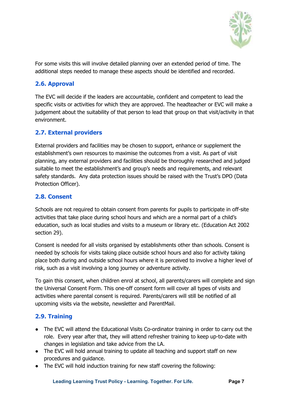

For some visits this will involve detailed planning over an extended period of time. The additional steps needed to manage these aspects should be identified and recorded.

# <span id="page-6-0"></span>**2.6. Approval**

The EVC will decide if the leaders are accountable, confident and competent to lead the specific visits or activities for which they are approved. The headteacher or EVC will make a judgement about the suitability of that person to lead that group on that visit/activity in that environment.

### <span id="page-6-1"></span>**2.7. External providers**

External providers and facilities may be chosen to support, enhance or supplement the establishment's own resources to maximise the outcomes from a visit. As part of visit planning, any external providers and facilities should be thoroughly researched and judged suitable to meet the establishment's and group's needs and requirements, and relevant safety standards. Any data protection issues should be raised with the Trust's DPO (Data Protection Officer).

#### <span id="page-6-2"></span>**2.8. Consent**

Schools are not required to obtain consent from parents for pupils to participate in off-site activities that take place during school hours and which are a normal part of a child's education, such as local studies and visits to a museum or library etc. (Education Act 2002 section 29).

Consent is needed for all visits organised by establishments other than schools. Consent is needed by schools for visits taking place outside school hours and also for activity taking place both during and outside school hours where it is perceived to involve a higher level of risk, such as a visit involving a long journey or adventure activity.

To gain this consent, when children enrol at school, all parents/carers will complete and sign the Universal Consent Form. This one-off consent form will cover all types of visits and activities where parental consent is required. Parents/carers will still be notified of all upcoming visits via the website, newsletter and ParentMail.

# <span id="page-6-3"></span>**2.9. Training**

- The EVC will attend the Educational Visits Co-ordinator training in order to carry out the role. Every year after that, they will attend refresher training to keep up-to-date with changes in legislation and take advice from the LA.
- The EVC will hold annual training to update all teaching and support staff on new procedures and guidance.
- The EVC will hold induction training for new staff covering the following:

**Leading Learning Trust Policy - Learning. Together. For Life. Page 7**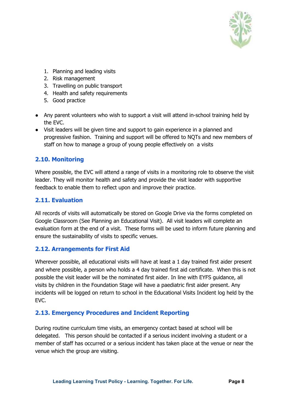

- 1. Planning and leading visits
- 2. Risk management
- 3. Travelling on public transport
- 4. Health and safety requirements
- 5. Good practice
- Any parent volunteers who wish to support a visit will attend in-school training held by the EVC.
- Visit leaders will be given time and support to gain experience in a planned and progressive fashion. Training and support will be offered to NQTs and new members of staff on how to manage a group of young people effectively on a visits

### <span id="page-7-0"></span>**2.10. Monitoring**

Where possible, the EVC will attend a range of visits in a monitoring role to observe the visit leader. They will monitor health and safety and provide the visit leader with supportive feedback to enable them to reflect upon and improve their practice.

# <span id="page-7-1"></span>**2.11. Evaluation**

All records of visits will automatically be stored on Google Drive via the forms completed on Google Classroom (See Planning an Educational Visit). All visit leaders will complete an evaluation form at the end of a visit. These forms will be used to inform future planning and ensure the sustainability of visits to specific venues.

#### <span id="page-7-2"></span>**2.12. Arrangements for First Aid**

Wherever possible, all educational visits will have at least a 1 day trained first aider present and where possible, a person who holds a 4 day trained first aid certificate. When this is not possible the visit leader will be the nominated first aider. In line with EYFS guidance, all visits by children in the Foundation Stage will have a paediatric first aider present. Any incidents will be logged on return to school in the Educational Visits Incident log held by the EVC.

#### <span id="page-7-3"></span>**2.13. Emergency Procedures and Incident Reporting**

During routine curriculum time visits, an emergency contact based at school will be delegated. This person should be contacted if a serious incident involving a student or a member of staff has occurred or a serious incident has taken place at the venue or near the venue which the group are visiting.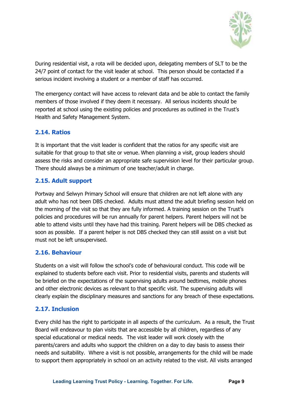

During residential visit, a rota will be decided upon, delegating members of SLT to be the 24/7 point of contact for the visit leader at school. This person should be contacted if a serious incident involving a student or a member of staff has occurred.

The emergency contact will have access to relevant data and be able to contact the family members of those involved if they deem it necessary. All serious incidents should be reported at school using the existing policies and procedures as outlined in the Trust's Health and Safety Management System.

# <span id="page-8-0"></span>**2.14. Ratios**

It is important that the visit leader is confident that the ratios for any specific visit are suitable for that group to that site or venue. When planning a visit, group leaders should assess the risks and consider an appropriate safe supervision level for their particular group. There should always be a minimum of one teacher/adult in charge.

### <span id="page-8-1"></span>**2.15. Adult support**

Portway and Selwyn Primary School will ensure that children are not left alone with any adult who has not been DBS checked. Adults must attend the adult briefing session held on the morning of the visit so that they are fully informed. A training session on the Trust's policies and procedures will be run annually for parent helpers. Parent helpers will not be able to attend visits until they have had this training. Parent helpers will be DBS checked as soon as possible. If a parent helper is not DBS checked they can still assist on a visit but must not be left unsupervised.

#### <span id="page-8-2"></span>**2.16. Behaviour**

Students on a visit will follow the school's code of behavioural conduct. This code will be explained to students before each visit. Prior to residential visits, parents and students will be briefed on the expectations of the supervising adults around bedtimes, mobile phones and other electronic devices as relevant to that specific visit. The supervising adults will clearly explain the disciplinary measures and sanctions for any breach of these expectations.

# <span id="page-8-3"></span>**2.17. Inclusion**

Every child has the right to participate in all aspects of the curriculum. As a result, the Trust Board will endeavour to plan visits that are accessible by all children, regardless of any special educational or medical needs. The visit leader will work closely with the parents/carers and adults who support the children on a day to day basis to assess their needs and suitability. Where a visit is not possible, arrangements for the child will be made to support them appropriately in school on an activity related to the visit. All visits arranged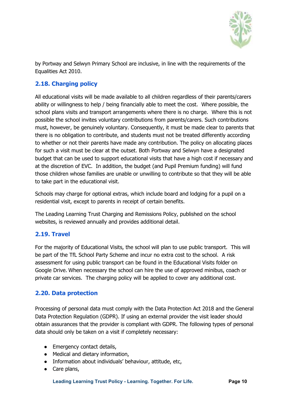

by Portway and Selwyn Primary School are inclusive, in line with the requirements of the Equalities Act 2010.

# <span id="page-9-0"></span>**2.18. Charging policy**

All educational visits will be made available to all children regardless of their parents/carers ability or willingness to help / being financially able to meet the cost. Where possible, the school plans visits and transport arrangements where there is no charge. Where this is not possible the school invites voluntary contributions from parents/carers. Such contributions must, however, be genuinely voluntary. Consequently, it must be made clear to parents that there is no obligation to contribute, and students must not be treated differently according to whether or not their parents have made any contribution. The policy on allocating places for such a visit must be clear at the outset. Both Portway and Selwyn have a designated budget that can be used to support educational visits that have a high cost if necessary and at the discretion of EVC. In addition, the budget (and Pupil Premium funding) will fund those children whose families are unable or unwilling to contribute so that they will be able to take part in the educational visit.

Schools may charge for optional extras, which include board and lodging for a pupil on a residential visit, except to parents in receipt of certain benefits.

The Leading Learning Trust Charging and Remissions Policy, published on the school websites, is reviewed annually and provides additional detail.

# <span id="page-9-1"></span>**2.19. Travel**

For the majority of Educational Visits, the school will plan to use public transport. This will be part of the TfL School Party Scheme and incur no extra cost to the school. A risk assessment for using public transport can be found in the Educational Visits folder on Google Drive. When necessary the school can hire the use of approved minibus, coach or private car services. The charging policy will be applied to cover any additional cost.

#### <span id="page-9-2"></span>**2.20. Data protection**

Processing of personal data must comply with the Data Protection Act 2018 and the General Data Protection Regulation (GDPR). If using an external provider the visit leader should obtain assurances that the provider is compliant with GDPR. The following types of personal data should only be taken on a visit if completely necessary:

- Emergency contact details,
- Medical and dietary information,
- Information about individuals' behaviour, attitude, etc,
- Care plans,